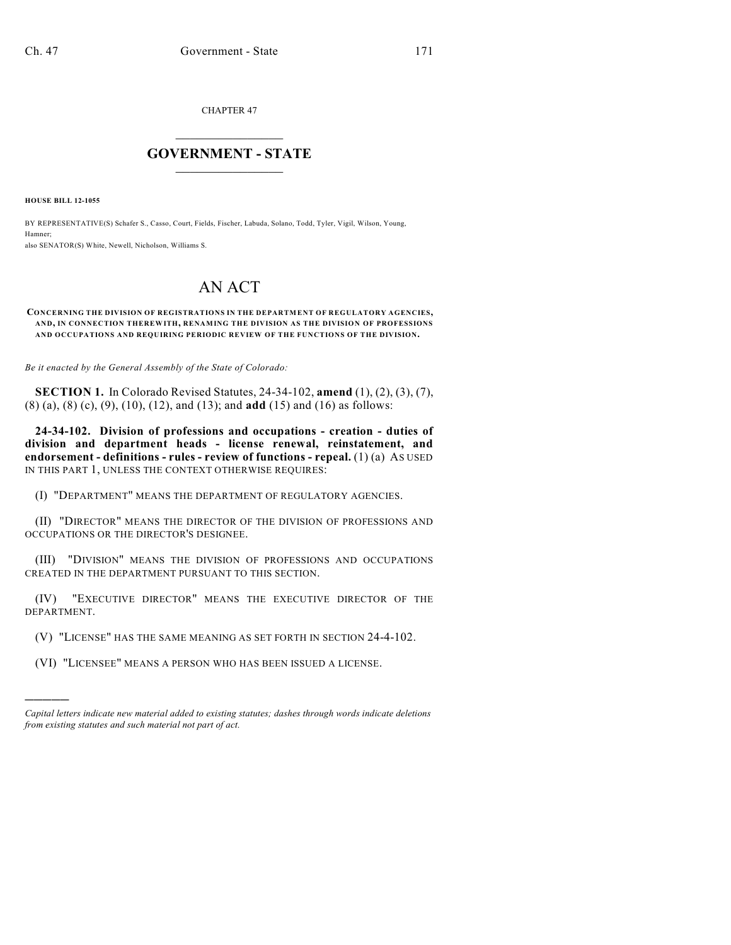CHAPTER 47

## $\mathcal{L}_\text{max}$  . The set of the set of the set of the set of the set of the set of the set of the set of the set of the set of the set of the set of the set of the set of the set of the set of the set of the set of the set **GOVERNMENT - STATE**  $\_$   $\_$   $\_$   $\_$   $\_$   $\_$   $\_$   $\_$

**HOUSE BILL 12-1055**

)))))

BY REPRESENTATIVE(S) Schafer S., Casso, Court, Fields, Fischer, Labuda, Solano, Todd, Tyler, Vigil, Wilson, Young, Hamner;

also SENATOR(S) White, Newell, Nicholson, Williams S.

## AN ACT

## **CONCERNING THE DIVISION OF REGISTRATIONS IN THE DEPARTMENT OF REGULATORY AGENCIES, AND, IN CONNECTION THEREWITH, RENAMING THE DIVISION AS THE DIVISION OF PROFESSIONS AND OCCUPATIONS AND REQUIRING PERIODIC REVIEW OF THE FUNCTIONS OF THE DIVISION.**

*Be it enacted by the General Assembly of the State of Colorado:*

**SECTION 1.** In Colorado Revised Statutes, 24-34-102, **amend** (1), (2), (3), (7), (8) (a), (8) (c), (9), (10), (12), and (13); and **add** (15) and (16) as follows:

**24-34-102. Division of professions and occupations - creation - duties of division and department heads - license renewal, reinstatement, and endorsement - definitions - rules - review of functions - repeal.** (1) (a) AS USED IN THIS PART 1, UNLESS THE CONTEXT OTHERWISE REQUIRES:

(I) "DEPARTMENT" MEANS THE DEPARTMENT OF REGULATORY AGENCIES.

(II) "DIRECTOR" MEANS THE DIRECTOR OF THE DIVISION OF PROFESSIONS AND OCCUPATIONS OR THE DIRECTOR'S DESIGNEE.

(III) "DIVISION" MEANS THE DIVISION OF PROFESSIONS AND OCCUPATIONS CREATED IN THE DEPARTMENT PURSUANT TO THIS SECTION.

(IV) "EXECUTIVE DIRECTOR" MEANS THE EXECUTIVE DIRECTOR OF THE DEPARTMENT.

(V) "LICENSE" HAS THE SAME MEANING AS SET FORTH IN SECTION 24-4-102.

(VI) "LICENSEE" MEANS A PERSON WHO HAS BEEN ISSUED A LICENSE.

*Capital letters indicate new material added to existing statutes; dashes through words indicate deletions from existing statutes and such material not part of act.*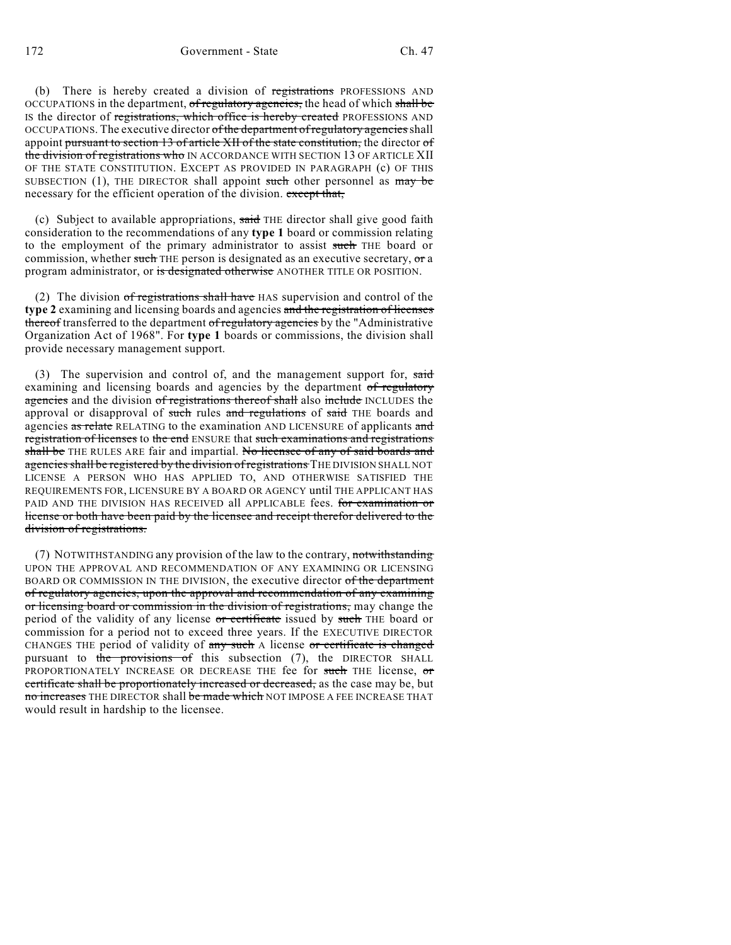(b) There is hereby created a division of registrations PROFESSIONS AND OCCUPATIONS in the department, of regulatory agencies, the head of which shall be IS the director of registrations, which office is hereby created PROFESSIONS AND OCCUPATIONS. The executive director of the department of regulatory agencies shall appoint pursuant to section 13 of article XII of the state constitution, the director of the division of registrations who IN ACCORDANCE WITH SECTION 13 OF ARTICLE XII OF THE STATE CONSTITUTION. EXCEPT AS PROVIDED IN PARAGRAPH (c) OF THIS SUBSECTION  $(1)$ , THE DIRECTOR shall appoint such other personnel as may be necessary for the efficient operation of the division. except that,

(c) Subject to available appropriations,  $s \frac{1}{\sqrt{1 + \left(1 + \frac{1}{n}\right)}}$  and  $s \frac{1}{n}$  give good faith consideration to the recommendations of any **type 1** board or commission relating to the employment of the primary administrator to assist such THE board or commission, whether such THE person is designated as an executive secretary, or a program administrator, or is designated otherwise ANOTHER TITLE OR POSITION.

(2) The division of registrations shall have HAS supervision and control of the **type 2** examining and licensing boards and agencies and the registration of licenses thereof transferred to the department of regulatory agencies by the "Administrative" Organization Act of 1968". For **type 1** boards or commissions, the division shall provide necessary management support.

(3) The supervision and control of, and the management support for,  $s$ aid examining and licensing boards and agencies by the department of regulatory agencies and the division of registrations thereof shall also include INCLUDES the approval or disapproval of such rules and regulations of said THE boards and agencies as relate RELATING to the examination AND LICENSURE of applicants and registration of licenses to the end ENSURE that such examinations and registrations shall be THE RULES ARE fair and impartial. No licensee of any of said boards and agencies shall be registered by the division of registrations THE DIVISION SHALL NOT LICENSE A PERSON WHO HAS APPLIED TO, AND OTHERWISE SATISFIED THE REQUIREMENTS FOR, LICENSURE BY A BOARD OR AGENCY until THE APPLICANT HAS PAID AND THE DIVISION HAS RECEIVED all APPLICABLE fees. for examination or license or both have been paid by the licensee and receipt therefor delivered to the division of registrations.

(7) NOTWITHSTANDING any provision of the law to the contrary, notwithstanding UPON THE APPROVAL AND RECOMMENDATION OF ANY EXAMINING OR LICENSING BOARD OR COMMISSION IN THE DIVISION, the executive director of the department of regulatory agencies, upon the approval and recommendation of any examining or licensing board or commission in the division of registrations, may change the period of the validity of any license or certificate issued by such THE board or commission for a period not to exceed three years. If the EXECUTIVE DIRECTOR CHANGES THE period of validity of any such A license or certificate is changed pursuant to the provisions of this subsection  $(7)$ , the DIRECTOR SHALL PROPORTIONATELY INCREASE OR DECREASE THE fee for such THE license, or certificate shall be proportionately increased or decreased, as the case may be, but no increases THE DIRECTOR shall be made which NOT IMPOSE A FEE INCREASE THAT would result in hardship to the licensee.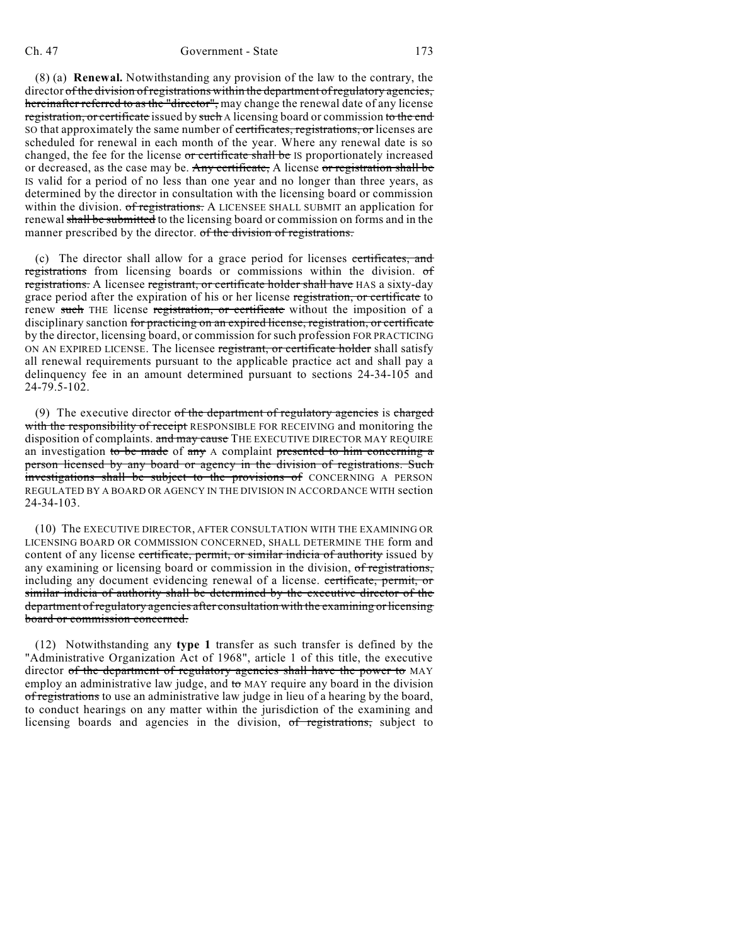(8) (a) **Renewal.** Notwithstanding any provision of the law to the contrary, the director of the division of registrations within the department of regulatory agencies, hereinafter referred to as the "director", may change the renewal date of any license registration, or certificate issued by such A licensing board or commission to the end SO that approximately the same number of certificates, registrations, or licenses are scheduled for renewal in each month of the year. Where any renewal date is so changed, the fee for the license or certificate shall be IS proportionately increased or decreased, as the case may be. Any certificate, A license or registration shall be IS valid for a period of no less than one year and no longer than three years, as determined by the director in consultation with the licensing board or commission within the division. of registrations. A LICENSEE SHALL SUBMIT an application for renewal shall be submitted to the licensing board or commission on forms and in the manner prescribed by the director. of the division of registrations.

(c) The director shall allow for a grace period for licenses certificates, and registrations from licensing boards or commissions within the division. of registrations. A licensee registrant, or certificate holder shall have HAS a sixty-day grace period after the expiration of his or her license registration, or certificate to renew such THE license registration, or certificate without the imposition of a disciplinary sanction for practicing on an expired license, registration, or certificate by the director, licensing board, or commission for such profession FOR PRACTICING ON AN EXPIRED LICENSE. The licensee registrant, or certificate holder shall satisfy all renewal requirements pursuant to the applicable practice act and shall pay a delinquency fee in an amount determined pursuant to sections 24-34-105 and 24-79.5-102.

(9) The executive director of the department of regulatory agencies is charged with the responsibility of receipt RESPONSIBLE FOR RECEIVING and monitoring the disposition of complaints. and may cause THE EXECUTIVE DIRECTOR MAY REQUIRE an investigation to be made of any  $\Lambda$  complaint presented to him concerning a person licensed by any board or agency in the division of registrations. Such investigations shall be subject to the provisions of CONCERNING A PERSON REGULATED BY A BOARD OR AGENCY IN THE DIVISION IN ACCORDANCE WITH section 24-34-103.

(10) The EXECUTIVE DIRECTOR, AFTER CONSULTATION WITH THE EXAMINING OR LICENSING BOARD OR COMMISSION CONCERNED, SHALL DETERMINE THE form and content of any license certificate, permit, or similar indicia of authority issued by any examining or licensing board or commission in the division, of registrations, including any document evidencing renewal of a license. certificate, permit, or similar indicia of authority shall be determined by the executive director of the department of regulatory agencies after consultation with the examining or licensing board or commission concerned.

(12) Notwithstanding any **type 1** transfer as such transfer is defined by the "Administrative Organization Act of 1968", article 1 of this title, the executive director of the department of regulatory agencies shall have the power to MAY employ an administrative law judge, and to MAY require any board in the division of registrations to use an administrative law judge in lieu of a hearing by the board, to conduct hearings on any matter within the jurisdiction of the examining and licensing boards and agencies in the division, of registrations, subject to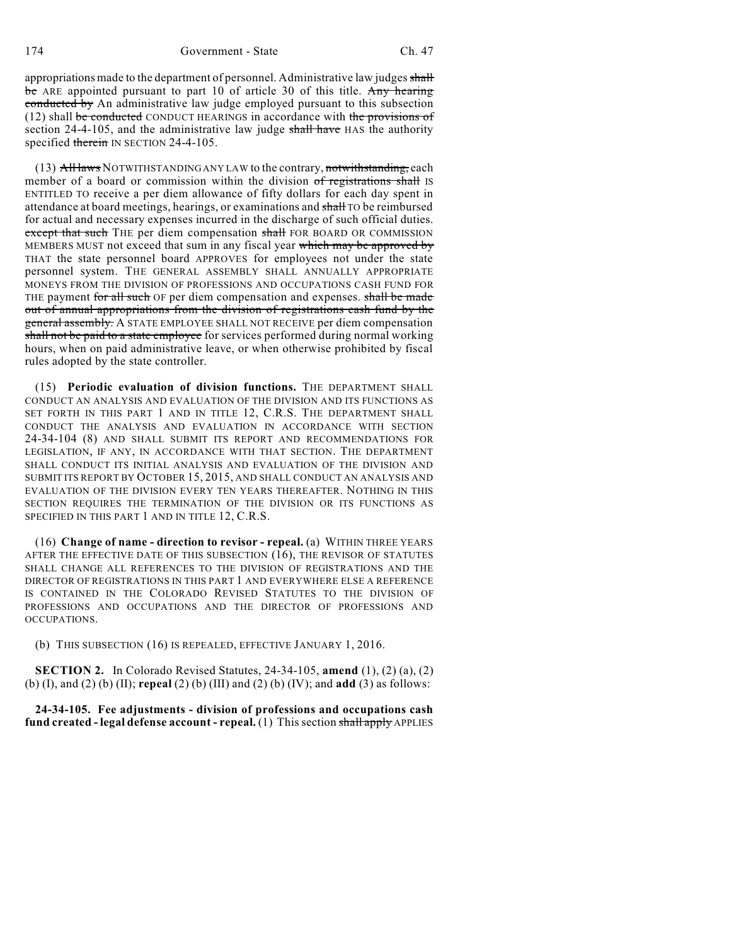appropriations made to the department of personnel. Administrative law judges shall be ARE appointed pursuant to part 10 of article 30 of this title. Any hearing conducted by An administrative law judge employed pursuant to this subsection (12) shall be conducted CONDUCT HEARINGS in accordance with the provisions of section  $24-4-105$ , and the administrative law judge shall have HAS the authority specified therein IN SECTION 24-4-105.

 $(13)$  All laws NOTWITHSTANDING ANY LAW to the contrary, notwithstanding, each member of a board or commission within the division of registrations shall IS ENTITLED TO receive a per diem allowance of fifty dollars for each day spent in attendance at board meetings, hearings, or examinations and shall TO be reimbursed for actual and necessary expenses incurred in the discharge of such official duties. except that such THE per diem compensation shall FOR BOARD OR COMMISSION MEMBERS MUST not exceed that sum in any fiscal year which may be approved by THAT the state personnel board APPROVES for employees not under the state personnel system. THE GENERAL ASSEMBLY SHALL ANNUALLY APPROPRIATE MONEYS FROM THE DIVISION OF PROFESSIONS AND OCCUPATIONS CASH FUND FOR THE payment for all such OF per diem compensation and expenses. shall be made out of annual appropriations from the division of registrations cash fund by the general assembly. A STATE EMPLOYEE SHALL NOT RECEIVE per diem compensation shall not be paid to a state employee for services performed during normal working hours, when on paid administrative leave, or when otherwise prohibited by fiscal rules adopted by the state controller.

(15) **Periodic evaluation of division functions.** THE DEPARTMENT SHALL CONDUCT AN ANALYSIS AND EVALUATION OF THE DIVISION AND ITS FUNCTIONS AS SET FORTH IN THIS PART 1 AND IN TITLE 12, C.R.S. THE DEPARTMENT SHALL CONDUCT THE ANALYSIS AND EVALUATION IN ACCORDANCE WITH SECTION 24-34-104 (8) AND SHALL SUBMIT ITS REPORT AND RECOMMENDATIONS FOR LEGISLATION, IF ANY, IN ACCORDANCE WITH THAT SECTION. THE DEPARTMENT SHALL CONDUCT ITS INITIAL ANALYSIS AND EVALUATION OF THE DIVISION AND SUBMIT ITS REPORT BY OCTOBER 15, 2015, AND SHALL CONDUCT AN ANALYSIS AND EVALUATION OF THE DIVISION EVERY TEN YEARS THEREAFTER. NOTHING IN THIS SECTION REQUIRES THE TERMINATION OF THE DIVISION OR ITS FUNCTIONS AS SPECIFIED IN THIS PART 1 AND IN TITLE 12, C.R.S.

(16) **Change of name - direction to revisor - repeal.** (a) WITHIN THREE YEARS AFTER THE EFFECTIVE DATE OF THIS SUBSECTION (16), THE REVISOR OF STATUTES SHALL CHANGE ALL REFERENCES TO THE DIVISION OF REGISTRATIONS AND THE DIRECTOR OF REGISTRATIONS IN THIS PART 1 AND EVERYWHERE ELSE A REFERENCE IS CONTAINED IN THE COLORADO REVISED STATUTES TO THE DIVISION OF PROFESSIONS AND OCCUPATIONS AND THE DIRECTOR OF PROFESSIONS AND OCCUPATIONS.

(b) THIS SUBSECTION (16) IS REPEALED, EFFECTIVE JANUARY 1, 2016.

**SECTION 2.** In Colorado Revised Statutes, 24-34-105, **amend** (1), (2) (a), (2) (b) (I), and (2) (b) (II); **repeal** (2) (b) (III) and (2) (b) (IV); and **add** (3) as follows:

**24-34-105. Fee adjustments - division of professions and occupations cash fund created - legal defense account - repeal.** (1) Thissection shall apply APPLIES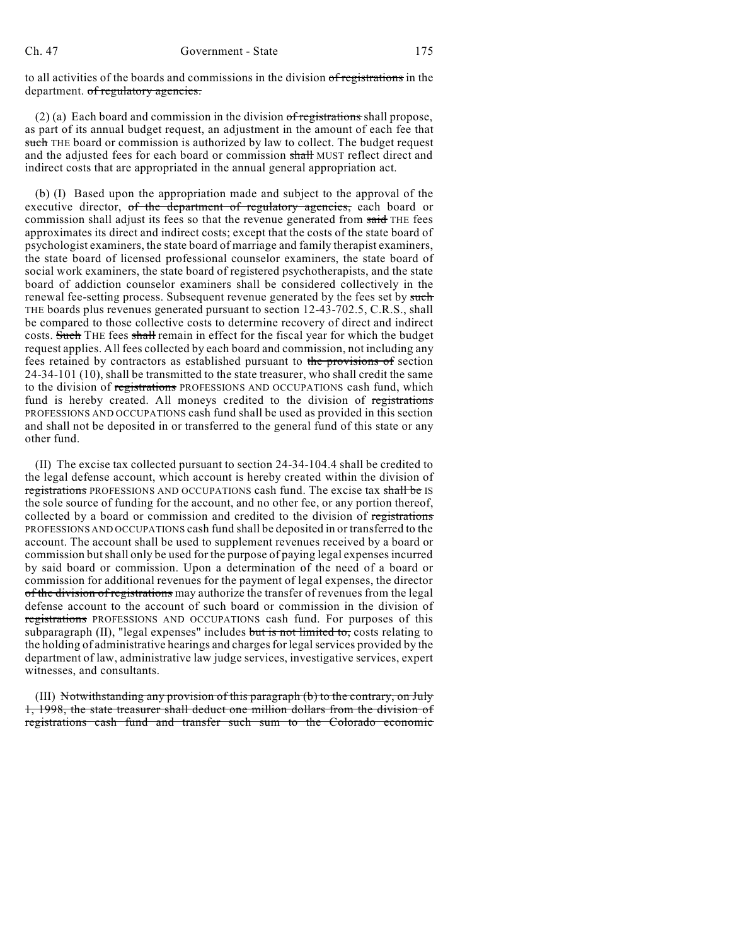to all activities of the boards and commissions in the division of registrations in the department. of regulatory agencies.

(2) (a) Each board and commission in the division of registrations shall propose, as part of its annual budget request, an adjustment in the amount of each fee that such THE board or commission is authorized by law to collect. The budget request and the adjusted fees for each board or commission shall MUST reflect direct and indirect costs that are appropriated in the annual general appropriation act.

(b) (I) Based upon the appropriation made and subject to the approval of the executive director, of the department of regulatory agencies, each board or commission shall adjust its fees so that the revenue generated from said THE fees approximates its direct and indirect costs; except that the costs of the state board of psychologist examiners, the state board of marriage and family therapist examiners, the state board of licensed professional counselor examiners, the state board of social work examiners, the state board of registered psychotherapists, and the state board of addiction counselor examiners shall be considered collectively in the renewal fee-setting process. Subsequent revenue generated by the fees set by such THE boards plus revenues generated pursuant to section 12-43-702.5, C.R.S., shall be compared to those collective costs to determine recovery of direct and indirect costs. Such THE fees shall remain in effect for the fiscal year for which the budget request applies. All fees collected by each board and commission, not including any fees retained by contractors as established pursuant to the provisions of section 24-34-101 (10), shall be transmitted to the state treasurer, who shall credit the same to the division of registrations PROFESSIONS AND OCCUPATIONS cash fund, which fund is hereby created. All moneys credited to the division of registrations PROFESSIONS AND OCCUPATIONS cash fund shall be used as provided in this section and shall not be deposited in or transferred to the general fund of this state or any other fund.

(II) The excise tax collected pursuant to section 24-34-104.4 shall be credited to the legal defense account, which account is hereby created within the division of registrations PROFESSIONS AND OCCUPATIONS cash fund. The excise tax shall be IS the sole source of funding for the account, and no other fee, or any portion thereof, collected by a board or commission and credited to the division of registrations PROFESSIONS AND OCCUPATIONS cash fund shall be deposited in or transferred to the account. The account shall be used to supplement revenues received by a board or commission but shall only be used for the purpose of paying legal expenses incurred by said board or commission. Upon a determination of the need of a board or commission for additional revenues for the payment of legal expenses, the director of the division of registrations may authorize the transfer of revenues from the legal defense account to the account of such board or commission in the division of registrations PROFESSIONS AND OCCUPATIONS cash fund. For purposes of this subparagraph  $(II)$ , "legal expenses" includes but is not limited to, costs relating to the holding of administrative hearings and chargesfor legalservices provided by the department of law, administrative law judge services, investigative services, expert witnesses, and consultants.

(III) Notwithstanding any provision of this paragraph (b) to the contrary, on July 1, 1998, the state treasurer shall deduct one million dollars from the division of registrations cash fund and transfer such sum to the Colorado economic